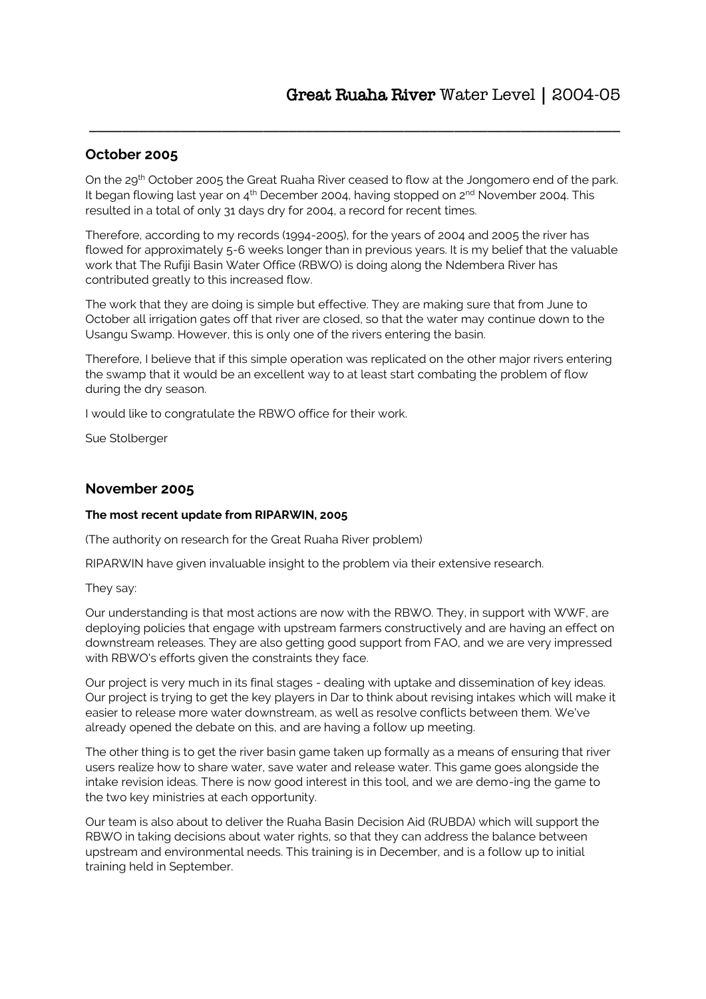## **October 2005**

On the 29th October 2005 the Great Ruaha River ceased to flow at the Jongomero end of the park. It began flowing last year on  $4<sup>th</sup>$  December 2004, having stopped on  $2<sup>nd</sup>$  November 2004. This resulted in a total of only 31 days dry for 2004, a record for recent times.

\_\_\_\_\_\_\_\_\_\_\_\_\_\_\_\_\_\_\_\_\_\_\_\_\_\_\_\_\_\_\_\_\_\_\_\_\_\_\_\_\_\_\_\_\_\_\_\_\_\_\_\_\_\_\_\_\_\_\_\_\_\_\_\_

Therefore, according to my records (1994-2005), for the years of 2004 and 2005 the river has flowed for approximately 5-6 weeks longer than in previous years. It is my belief that the valuable work that The Rufiji Basin Water Office (RBWO) is doing along the Ndembera River has contributed greatly to this increased flow.

The work that they are doing is simple but effective. They are making sure that from June to October all irrigation gates off that river are closed, so that the water may continue down to the Usangu Swamp. However, this is only one of the rivers entering the basin.

Therefore, I believe that if this simple operation was replicated on the other major rivers entering the swamp that it would be an excellent way to at least start combating the problem of flow during the dry season.

I would like to congratulate the RBWO office for their work.

Sue Stolberger

### **November 2005**

### **The most recent update from RIPARWIN, 2005**

(The authority on research for the Great Ruaha River problem)

RIPARWIN have given invaluable insight to the problem via their extensive research.

They say:

Our understanding is that most actions are now with the RBWO. They, in support with WWF, are deploying policies that engage with upstream farmers constructively and are having an effect on downstream releases. They are also getting good support from FAO, and we are very impressed with RBWO's efforts given the constraints they face.

Our project is very much in its final stages - dealing with uptake and dissemination of key ideas. Our project is trying to get the key players in Dar to think about revising intakes which will make it easier to release more water downstream, as well as resolve conflicts between them. We've already opened the debate on this, and are having a follow up meeting.

The other thing is to get the river basin game taken up formally as a means of ensuring that river users realize how to share water, save water and release water. This game goes alongside the intake revision ideas. There is now good interest in this tool, and we are demo-ing the game to the two key ministries at each opportunity.

Our team is also about to deliver the Ruaha Basin Decision Aid (RUBDA) which will support the RBWO in taking decisions about water rights, so that they can address the balance between upstream and environmental needs. This training is in December, and is a follow up to initial training held in September.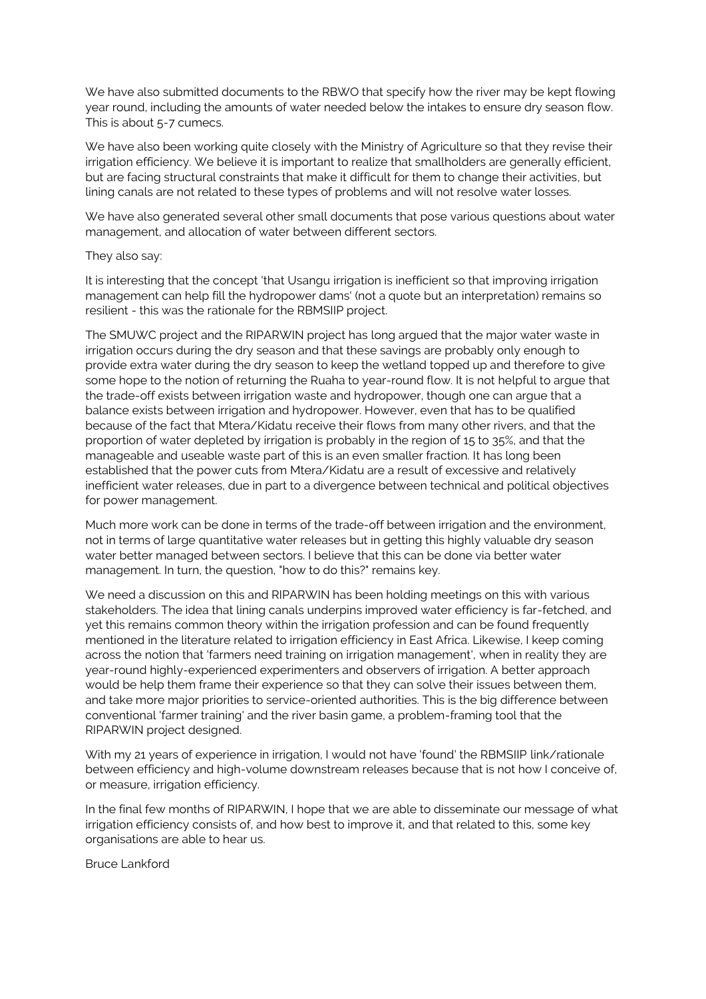We have also submitted documents to the RBWO that specify how the river may be kept flowing year round, including the amounts of water needed below the intakes to ensure dry season flow. This is about 5-7 cumecs.

We have also been working quite closely with the Ministry of Agriculture so that they revise their irrigation efficiency. We believe it is important to realize that smallholders are generally efficient, but are facing structural constraints that make it difficult for them to change their activities, but lining canals are not related to these types of problems and will not resolve water losses.

We have also generated several other small documents that pose various questions about water management, and allocation of water between different sectors.

#### They also say:

It is interesting that the concept 'that Usangu irrigation is inefficient so that improving irrigation management can help fill the hydropower dams' (not a quote but an interpretation) remains so resilient - this was the rationale for the RBMSIIP project.

The SMUWC project and the RIPARWIN project has long argued that the major water waste in irrigation occurs during the dry season and that these savings are probably only enough to provide extra water during the dry season to keep the wetland topped up and therefore to give some hope to the notion of returning the Ruaha to year-round flow. It is not helpful to argue that the trade-off exists between irrigation waste and hydropower, though one can argue that a balance exists between irrigation and hydropower. However, even that has to be qualified because of the fact that Mtera/Kidatu receive their flows from many other rivers, and that the proportion of water depleted by irrigation is probably in the region of 15 to 35%, and that the manageable and useable waste part of this is an even smaller fraction. It has long been established that the power cuts from Mtera/Kidatu are a result of excessive and relatively inefficient water releases, due in part to a divergence between technical and political objectives for power management.

Much more work can be done in terms of the trade-off between irrigation and the environment, not in terms of large quantitative water releases but in getting this highly valuable dry season water better managed between sectors. I believe that this can be done via better water management. In turn, the question, "how to do this?" remains key.

We need a discussion on this and RIPARWIN has been holding meetings on this with various stakeholders. The idea that lining canals underpins improved water efficiency is far-fetched, and yet this remains common theory within the irrigation profession and can be found frequently mentioned in the literature related to irrigation efficiency in East Africa. Likewise, I keep coming across the notion that 'farmers need training on irrigation management', when in reality they are year-round highly-experienced experimenters and observers of irrigation. A better approach would be help them frame their experience so that they can solve their issues between them, and take more major priorities to service-oriented authorities. This is the big difference between conventional 'farmer training' and the river basin game, a problem-framing tool that the RIPARWIN project designed.

With my 21 years of experience in irrigation, I would not have 'found' the RBMSIIP link/rationale between efficiency and high-volume downstream releases because that is not how I conceive of, or measure, irrigation efficiency.

In the final few months of RIPARWIN, I hope that we are able to disseminate our message of what irrigation efficiency consists of, and how best to improve it, and that related to this, some key organisations are able to hear us.

Bruce Lankford